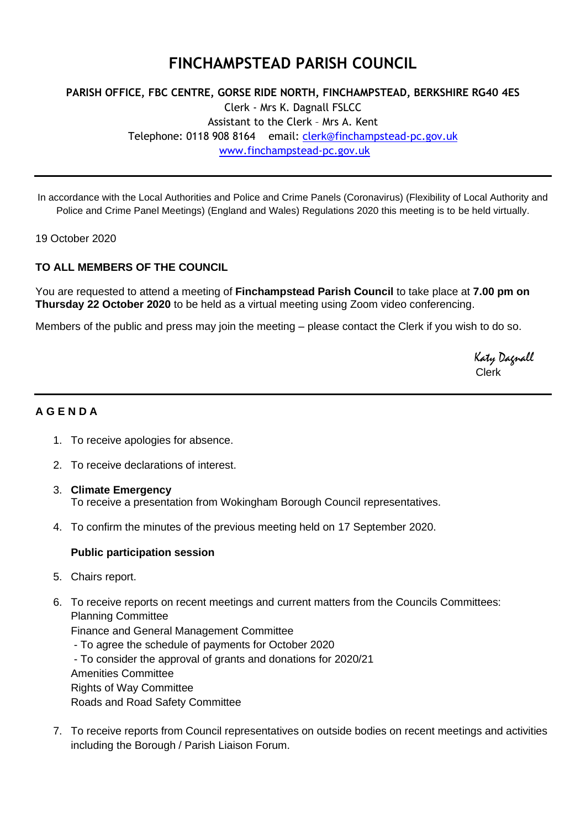# **FINCHAMPSTEAD PARISH COUNCIL**

# **PARISH OFFICE, FBC CENTRE, GORSE RIDE NORTH, FINCHAMPSTEAD, BERKSHIRE RG40 4ES** Clerk - Mrs K. Dagnall FSLCC Assistant to the Clerk – Mrs A. Kent Telephone: 0118 908 8164 email: [clerk@finchampstead-pc.gov.uk](mailto:clerk@finchampstead-pc.gov.uk) [www.finchampstead-pc.gov.uk](http://www.finchampstead-pc.gov.uk/)

In accordance with the Local Authorities and Police and Crime Panels (Coronavirus) (Flexibility of Local Authority and Police and Crime Panel Meetings) (England and Wales) Regulations 2020 this meeting is to be held virtually.

19 October 2020

## **TO ALL MEMBERS OF THE COUNCIL**

You are requested to attend a meeting of **Finchampstead Parish Council** to take place at **7.00 pm on Thursday 22 October 2020** to be held as a virtual meeting using Zoom video conferencing.

Members of the public and press may join the meeting – please contact the Clerk if you wish to do so.

 Katy Dagnall Clerk

### **A G E N D A**

- 1. To receive apologies for absence.
- 2. To receive declarations of interest.
- 3. **Climate Emergency** To receive a presentation from Wokingham Borough Council representatives.
- 4. To confirm the minutes of the previous meeting held on 17 September 2020.

#### **Public participation session**

- 5. Chairs report.
- 6. To receive reports on recent meetings and current matters from the Councils Committees: Planning Committee

Finance and General Management Committee

- To agree the schedule of payments for October 2020
- To consider the approval of grants and donations for 2020/21
- Amenities Committee

Rights of Way Committee

Roads and Road Safety Committee

7. To receive reports from Council representatives on outside bodies on recent meetings and activities including the Borough / Parish Liaison Forum.